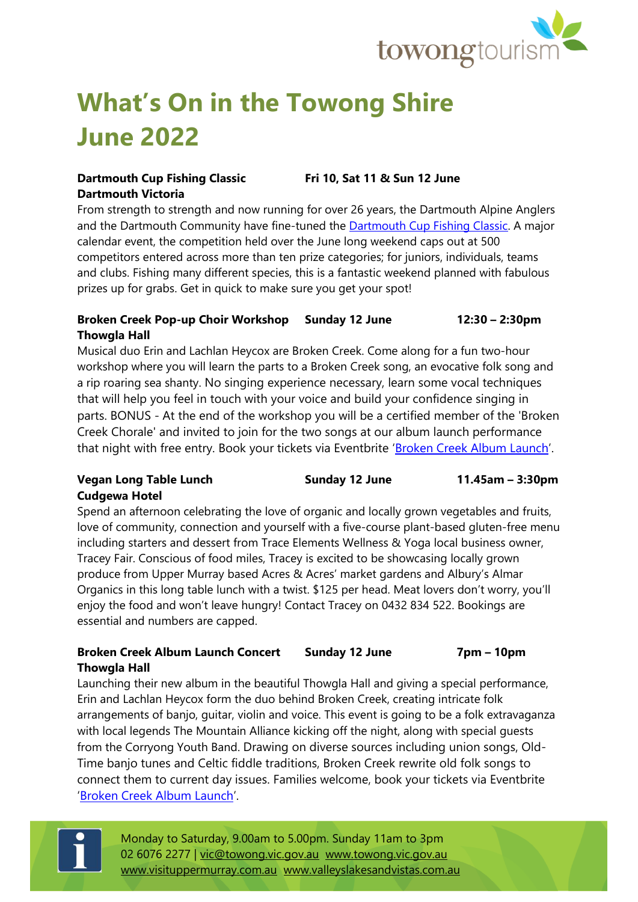

# **What's On in the Towong Shire June 2022**

#### **Dartmouth Cup Fishing Classic Fri 10, Sat 11 & Sun 12 June Dartmouth Victoria**

From strength to strength and now running for over 26 years, the Dartmouth Alpine Anglers and the Dartmouth Community have fine-tuned the **Dartmouth Cup Fishing Classic**. A major calendar event, the competition held over the June long weekend caps out at 500 competitors entered across more than ten prize categories; for juniors, individuals, teams and clubs. Fishing many different species, this is a fantastic weekend planned with fabulous prizes up for grabs. Get in quick to make sure you get your spot!

#### **Broken Creek Pop-up Choir Workshop Sunday 12 June 12:30 – 2:30pm Thowgla Hall**

Musical duo Erin and Lachlan Heycox are Broken Creek. Come along for a fun two-hour workshop where you will learn the parts to a Broken Creek song, an evocative folk song and a rip roaring sea shanty. No singing experience necessary, learn some vocal techniques that will help you feel in touch with your voice and build your confidence singing in parts. BONUS - At the end of the workshop you will be a certified member of the 'Broken Creek Chorale' and invited to join for the two songs at our album launch performance that night with free entry. Book your tickets via Eventbrite '[Broken Creek Album Launch](https://www.eventbrite.com.au/e/broken-creek-small-town-anthropologies-album-launch-and-workshops-tickets-340296986447?aff=ebdssbcitybrowse&_gl=1*1i0fqb2*_up*MQ..&gclid=EAIaIQobChMIje788Ojn9wIV0gorCh2fUQnMEAAYASAAEgLGIvD_BwE&gclsrc=aw.ds)'.

#### **Vegan Long Table Lunch Sunday 12 June 11.45am – 3:30pm Cudgewa Hotel**

Spend an afternoon celebrating the love of organic and locally grown vegetables and fruits, love of community, connection and yourself with a five-course plant-based gluten-free menu including starters and dessert from Trace Elements Wellness & Yoga local business owner, Tracey Fair. Conscious of food miles, Tracey is excited to be showcasing locally grown produce from Upper Murray based Acres & Acres' market gardens and Albury's Almar Organics in this long table lunch with a twist. \$125 per head. Meat lovers don't worry, you'll enjoy the food and won't leave hungry! Contact Tracey on 0432 834 522. Bookings are essential and numbers are capped.

#### **Broken Creek Album Launch Concert Sunday 12 June 7pm – 10pm Thowgla Hall**

Launching their new album in the beautiful Thowgla Hall and giving a special performance, Erin and Lachlan Heycox form the duo behind Broken Creek, creating intricate folk arrangements of banjo, guitar, violin and voice. This event is going to be a folk extravaganza with local legends The Mountain Alliance kicking off the night, along with special guests from the Corryong Youth Band. Drawing on diverse sources including union songs, Old-Time banjo tunes and Celtic fiddle traditions, Broken Creek rewrite old folk songs to connect them to current day issues. Families welcome, book your tickets via Eventbrite '[Broken Creek Album Launch](https://www.eventbrite.com.au/e/broken-creek-small-town-anthropologies-album-launch-and-workshops-tickets-340296986447?aff=ebdssbcitybrowse&_gl=1*1i0fqb2*_up*MQ..&gclid=EAIaIQobChMIje788Ojn9wIV0gorCh2fUQnMEAAYASAAEgLGIvD_BwE&gclsrc=aw.ds)'.

Monday to Saturday, 9.00am to 5.00pm. Sunday 11am to 3pm 02 6076 2277 | [vic@towong.vic.gov.au](mailto:vic@towong.vic.gov.au) [www.towong.vic.gov.au](http://www.towong.vic.gov.au/) [www.visituppermurray.com.au](http://www.visituppermurray.com.au/) [www.valleyslakesandvistas.com.au](http://www.valleyslakesandvistas.com.au/)